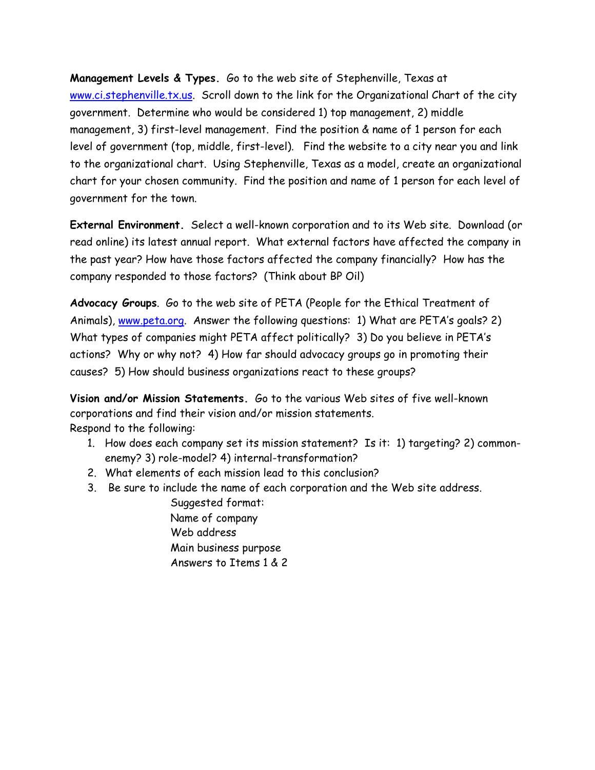**Management Levels & Types.** Go to the web site of Stephenville, Texas at www.ci.stephenville.tx.us. Scroll down to the link for the Organizational Chart of the city government. Determine who would be considered 1) top management, 2) middle management, 3) first-level management. Find the position & name of 1 person for each level of government (top, middle, first-level). Find the website to a city near you and link to the organizational chart. Using Stephenville, Texas as a model, create an organizational chart for your chosen community. Find the position and name of 1 person for each level of government for the town.

**External Environment.** Select a well-known corporation and to its Web site. Download (or read online) its latest annual report. What external factors have affected the company in the past year? How have those factors affected the company financially? How has the company responded to those factors? (Think about BP Oil)

**Advocacy Groups**. Go to the web site of PETA (People for the Ethical Treatment of Animals), www.peta.org. Answer the following questions: 1) What are PETA's goals? 2) What types of companies might PETA affect politically? 3) Do you believe in PETA's actions? Why or why not? 4) How far should advocacy groups go in promoting their causes? 5) How should business organizations react to these groups?

**Vision and/or Mission Statements.** Go to the various Web sites of five well-known corporations and find their vision and/or mission statements. Respond to the following:

- 1. How does each company set its mission statement? Is it: 1) targeting? 2) commonenemy? 3) role-model? 4) internal-transformation?
- 2. What elements of each mission lead to this conclusion?
- 3. Be sure to include the name of each corporation and the Web site address.

Suggested format: Name of company Web address Main business purpose Answers to Items 1 & 2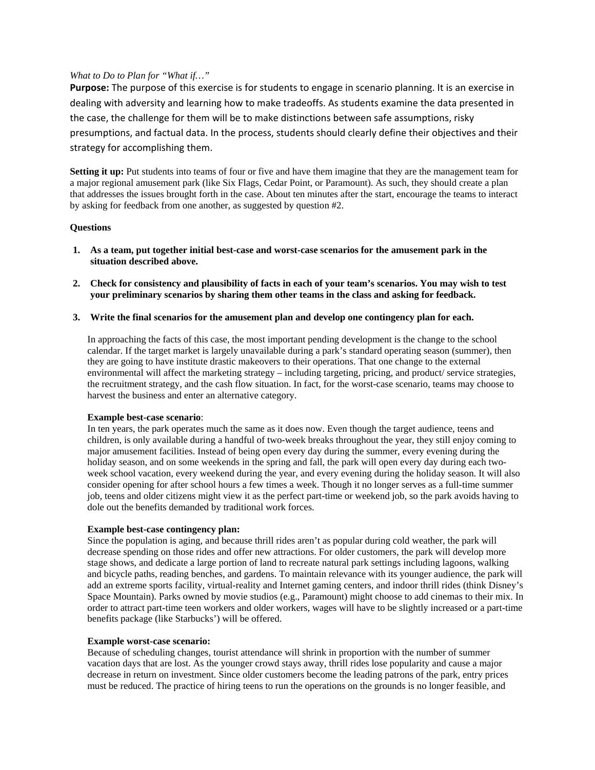# *What to Do to Plan for "What if…"*

**Purpose:** The purpose of this exercise is for students to engage in scenario planning. It is an exercise in dealing with adversity and learning how to make tradeoffs. As students examine the data presented in the case, the challenge for them will be to make distinctions between safe assumptions, risky presumptions, and factual data. In the process, students should clearly define their objectives and their strategy for accomplishing them.

**Setting it up:** Put students into teams of four or five and have them imagine that they are the management team for a major regional amusement park (like Six Flags, Cedar Point, or Paramount). As such, they should create a plan that addresses the issues brought forth in the case. About ten minutes after the start, encourage the teams to interact by asking for feedback from one another, as suggested by question #2.

# **Questions**

- **1. As a team, put together initial best-case and worst-case scenarios for the amusement park in the situation described above.**
- **2. Check for consistency and plausibility of facts in each of your team's scenarios. You may wish to test your preliminary scenarios by sharing them other teams in the class and asking for feedback.**
- **3. Write the final scenarios for the amusement plan and develop one contingency plan for each.**

In approaching the facts of this case, the most important pending development is the change to the school calendar. If the target market is largely unavailable during a park's standard operating season (summer), then they are going to have institute drastic makeovers to their operations. That one change to the external environmental will affect the marketing strategy – including targeting, pricing, and product/ service strategies, the recruitment strategy, and the cash flow situation. In fact, for the worst-case scenario, teams may choose to harvest the business and enter an alternative category.

#### **Example best-case scenario**:

In ten years, the park operates much the same as it does now. Even though the target audience, teens and children, is only available during a handful of two-week breaks throughout the year, they still enjoy coming to major amusement facilities. Instead of being open every day during the summer, every evening during the holiday season, and on some weekends in the spring and fall, the park will open every day during each twoweek school vacation, every weekend during the year, and every evening during the holiday season. It will also consider opening for after school hours a few times a week. Though it no longer serves as a full-time summer job, teens and older citizens might view it as the perfect part-time or weekend job, so the park avoids having to dole out the benefits demanded by traditional work forces.

#### **Example best-case contingency plan:**

Since the population is aging, and because thrill rides aren't as popular during cold weather, the park will decrease spending on those rides and offer new attractions. For older customers, the park will develop more stage shows, and dedicate a large portion of land to recreate natural park settings including lagoons, walking and bicycle paths, reading benches, and gardens. To maintain relevance with its younger audience, the park will add an extreme sports facility, virtual-reality and Internet gaming centers, and indoor thrill rides (think Disney's Space Mountain). Parks owned by movie studios (e.g., Paramount) might choose to add cinemas to their mix. In order to attract part-time teen workers and older workers, wages will have to be slightly increased or a part-time benefits package (like Starbucks') will be offered.

#### **Example worst-case scenario:**

Because of scheduling changes, tourist attendance will shrink in proportion with the number of summer vacation days that are lost. As the younger crowd stays away, thrill rides lose popularity and cause a major decrease in return on investment. Since older customers become the leading patrons of the park, entry prices must be reduced. The practice of hiring teens to run the operations on the grounds is no longer feasible, and